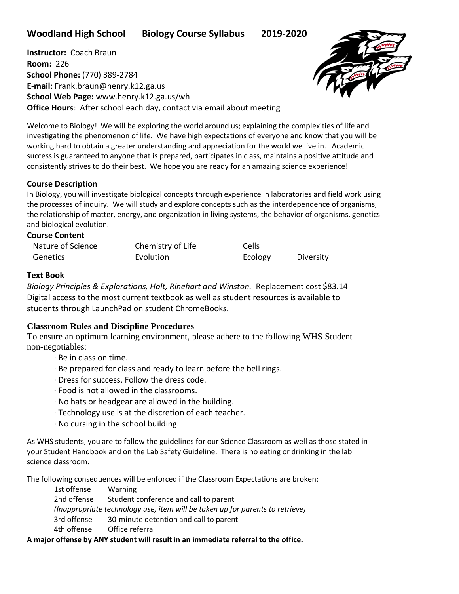**Woodland High School Biology Course Syllabus 2019-2020**

**Instructor:** Coach Braun **Room:** 226 **School Phone:** (770) 389-2784 **E-mail:** Frank.braun@henry.k12.ga.us **School Web Page:** www.henry.k12.ga.us/wh **Office Hours**: After school each day, contact via email about meeting



Welcome to Biology! We will be exploring the world around us; explaining the complexities of life and investigating the phenomenon of life. We have high expectations of everyone and know that you will be working hard to obtain a greater understanding and appreciation for the world we live in. Academic success is guaranteed to anyone that is prepared, participates in class, maintains a positive attitude and consistently strives to do their best. We hope you are ready for an amazing science experience!

## **Course Description**

In Biology, you will investigate biological concepts through experience in laboratories and field work using the processes of inquiry. We will study and explore concepts such as the interdependence of organisms, the relationship of matter, energy, and organization in living systems, the behavior of organisms, genetics and biological evolution.

#### **Course Content**

| Nature of Science | Chemistry of Life | Cells   |           |
|-------------------|-------------------|---------|-----------|
| Genetics          | Evolution         | Ecology | Diversity |

## **Text Book**

*Biology Principles & Explorations, Holt, Rinehart and Winston.* Replacement cost \$83.14 Digital access to the most current textbook as well as student resources is available to students through LaunchPad on student ChromeBooks.

# **Classroom Rules and Discipline Procedures**

To ensure an optimum learning environment, please adhere to the following WHS Student non-negotiables:

- · Be in class on time.
- · Be prepared for class and ready to learn before the bell rings.
- · Dress for success. Follow the dress code.
- · Food is not allowed in the classrooms.
- · No hats or headgear are allowed in the building.
- · Technology use is at the discretion of each teacher.
- · No cursing in the school building.

As WHS students, you are to follow the guidelines for our Science Classroom as well as those stated in your Student Handbook and on the Lab Safety Guideline. There is no eating or drinking in the lab science classroom.

The following consequences will be enforced if the Classroom Expectations are broken:

1st offense Warning 2nd offense Student conference and call to parent *(Inappropriate technology use, item will be taken up for parents to retrieve)* 3rd offense 30-minute detention and call to parent 4th offense Office referral

## **A major offense by ANY student will result in an immediate referral to the office.**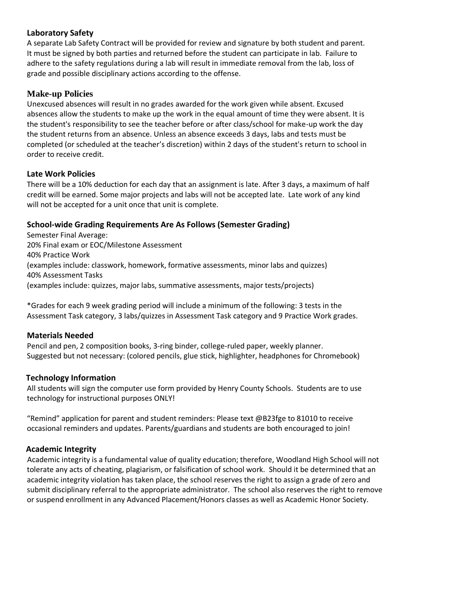# **Laboratory Safety**

A separate Lab Safety Contract will be provided for review and signature by both student and parent. It must be signed by both parties and returned before the student can participate in lab. Failure to adhere to the safety regulations during a lab will result in immediate removal from the lab, loss of grade and possible disciplinary actions according to the offense.

## **Make-up Policies**

Unexcused absences will result in no grades awarded for the work given while absent. Excused absences allow the students to make up the work in the equal amount of time they were absent. It is the student's responsibility to see the teacher before or after class/school for make-up work the day the student returns from an absence. Unless an absence exceeds 3 days, labs and tests must be completed (or scheduled at the teacher's discretion) within 2 days of the student's return to school in order to receive credit.

#### **Late Work Policies**

There will be a 10% deduction for each day that an assignment is late. After 3 days, a maximum of half credit will be earned. Some major projects and labs will not be accepted late. Late work of any kind will not be accepted for a unit once that unit is complete.

## **School-wide Grading Requirements Are As Follows (Semester Grading)**

Semester Final Average: 20% Final exam or EOC/Milestone Assessment 40% Practice Work (examples include: classwork, homework, formative assessments, minor labs and quizzes) 40% Assessment Tasks (examples include: quizzes, major labs, summative assessments, major tests/projects)

\*Grades for each 9 week grading period will include a minimum of the following: 3 tests in the Assessment Task category, 3 labs/quizzes in Assessment Task category and 9 Practice Work grades.

## **Materials Needed**

Pencil and pen, 2 composition books, 3-ring binder, college-ruled paper, weekly planner. Suggested but not necessary: (colored pencils, glue stick, highlighter, headphones for Chromebook)

## **Technology Information**

All students will sign the computer use form provided by Henry County Schools. Students are to use technology for instructional purposes ONLY!

"Remind" application for parent and student reminders: Please text @B23fge to 81010 to receive occasional reminders and updates. Parents/guardians and students are both encouraged to join!

## **Academic Integrity**

Academic integrity is a fundamental value of quality education; therefore, Woodland High School will not tolerate any acts of cheating, plagiarism, or falsification of school work. Should it be determined that an academic integrity violation has taken place, the school reserves the right to assign a grade of zero and submit disciplinary referral to the appropriate administrator. The school also reserves the right to remove or suspend enrollment in any Advanced Placement/Honors classes as well as Academic Honor Society.